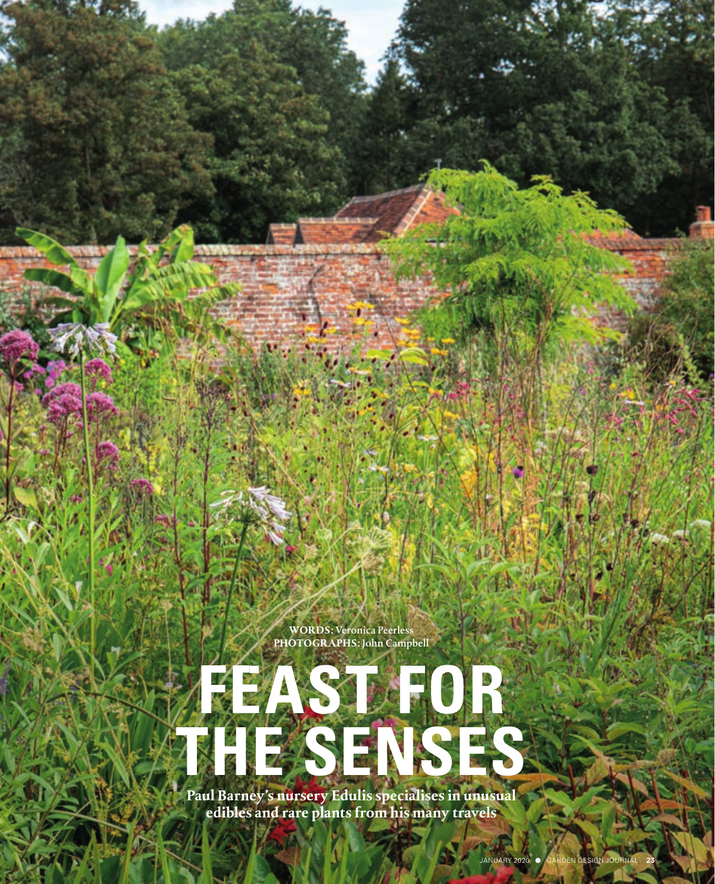**WORDS:** Veronica Peerless **PHOTOGRAPHS:** John Campbell

# **Paul Barney's nursery Edulis specialises in unusual FEAST FOR THE SENSES**

**edibles and rare plants from his many travels**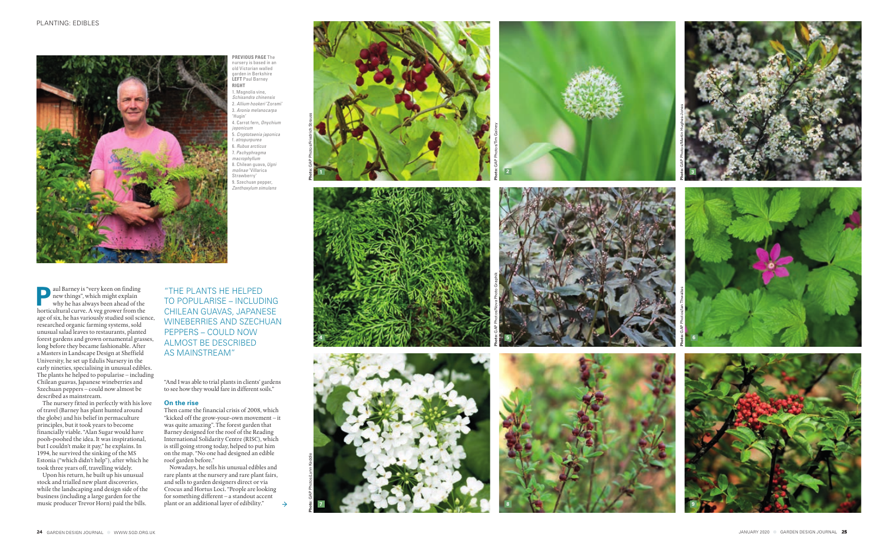



aul Barney is "very keen on finding<br>new things", which might explain<br>why he has always been ahead of the<br>horticultural curve. A yea grower from the new things", which might explain why he has always been ahead of the horticultural curve. A veg grower from the age of six, he has variously studied soil science, researched organic farming systems, sold unusual salad leaves to restaurants, planted forest gardens and grown ornamental grasses, long before they became fashionable. After a Masters in Landscape Design at Sheffield University, he set up Edulis Nursery in the early nineties, specialising in unusual edibles. The plants he helped to popularise – including Chilean guavas, Japanese wineberries and Szechuan peppers – could now almost be described as mainstream.

The nursery fitted in perfectly with his love of travel (Barney has plant hunted around the globe) and his belief in permaculture principles, but it took years to become financially viable. "Alan Sugar would have pooh-poohed the idea. It was inspirational, but I couldn't make it pay," he explains. In 1994, he survived the sinking of the MS Estonia ("which didn't help"), after which he took three years off, travelling widely.

Upon his return, he built up his unusual stock and trialled new plant discoveries, while the landscaping and design side of the business (including a large garden for the music producer Trevor Horn) paid the bills.





**2 Photo:** GAP Photos/Tim Gainey



"And I was able to trial plants in clients' gardens to see how they would fare in different soils."

## **On the rise**

Then came the financial crisis of 2008, which "kicked off the grow-your-own movement – it was quite amazing". The forest garden that Barney designed for the roof of the Reading International Solidarity Centre (RISC), which is still going strong today, helped to put him on the map. "No one had designed an edible roof garden before."

Nowadays, he sells his unusual edibles and rare plants at the nursery and rare plant fairs, and sells to garden designers direct or via Crocus and Hortus Loci. "People are looking for something different – a standout accent plant or an additional layer of edibility."

 $\rightarrow$ 

"THE PLANTS HE HELPED TO POPULARISE – INCLUDING CHILEAN GUAVAS, JAPANESE WINEBERRIES AND SZECHUAN PEPPERS – COULD NOW ALMOST BE DESCRIBED AS MAINSTREAM"

**PREVIOUS PAGE** The nursery is based in an old Victorian walled garden in Berkshire **LEFT** Paul Barney **RIGHT** 1. Magnolia vine, *Schisandra chinensis* 2. *Allium hookeri* 'Zorami' 3. *Aronia melanocarpa* 'Hugin' 4. Carrot fern, *Onychium japonicum* 5. *Cryptotaenia japonica* f. *atropurpurea* 6. *Rubus arcticus* 7. *Pachyphragma macrophyllum* 8. Chilean guava, *Ugni molinae* 'Villarica Strawberry' 9. Szechuan pepper, *Zanthoxylum simulans*

**Photo:** GAP Photos/Friedrich Strauss